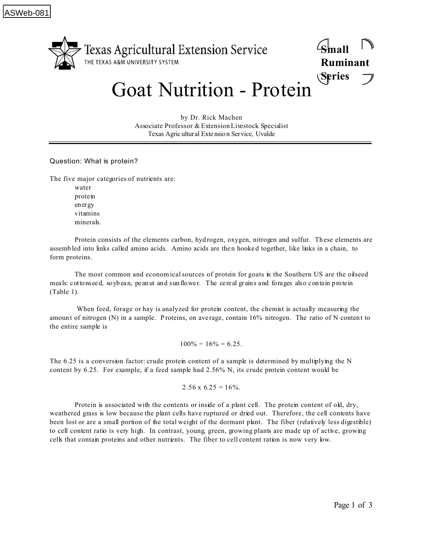

**Small Ruminant Series**

## Goat Nutrition - Protein

by Dr. Rick Machen Associate Professor & Extension Livestock Specialist Texas Agric ultur al Extensio n Service, Uvalde

## Question: What is protein?

The five major categories of nutrients are:

water protein energy vitamins minerals.

Protein consists of the elements carbon, hydrogen, oxygen, nitrogen and sulfur. These elements are assemb led into links called amino acids. Amino acids are the n hooke d together, like links in a chain, to form proteins.

The most common and economical sources of protein for goats in the Southern US are the oilseed meals: cottons eed, soybean, pe anut and sunflower. The cereal grains and forages also contain protein (Table 1).

 When feed, forage or hay is analyzed for protein content, the chemist is actually measuring the amount of nitrogen (N) in a sample. Proteins, on average, contain 16% nitrogen. The ratio of N content to the entire sample is

 $100\% \div 16\% = 6.25.$ 

The 6.25 is a conversion factor: crude protein content of a sample is determined by multiplying the N content by 6.25. For example, if a feed sample had 2.56% N, its crude protein content would be

$$
2.56 \text{ x } 6.25 = 16\%.
$$

Protein is associated with the contents or inside of a plant cell. The protein content of old, dry, weathered grass is low because the plant cells have ruptured or dried out. Therefore, the cell contents have been lost or are a small portion of the total weight of the dormant plant. The fiber (relatively less digestible) to cell content ratio is very high. In contrast, young, green, growing plants are made up of active, growing cells that contain proteins and other nutrients. The fiber to cell content ration is now very low.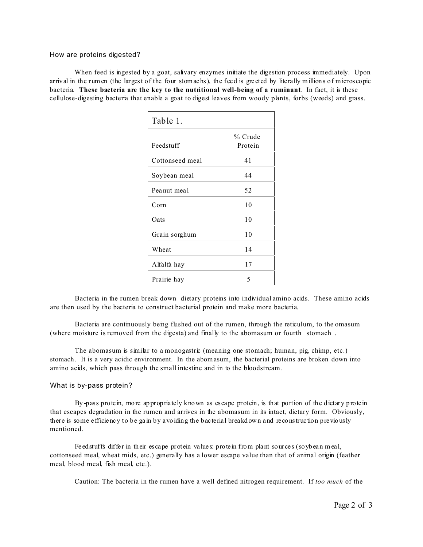## How are proteins digested?

When feed is ingested by a goat, salivary enzymes initiate the digestion process immediately. Upon arrival in the rumen (the largest of the four stomachs), the feed is gre eted by literally millions of micros copic bacteria. **These bacteria are the key to the nutritional well-being of a ruminant**. In fact, it is these cellulose-digesting bacteria that enable a goat to digest leaves from woody plants, forbs (weeds) and grass.

| Table 1.        |                    |
|-----------------|--------------------|
| Feedstuff       | % Crude<br>Protein |
| Cottonseed meal | 41                 |
| Soybean meal    | 44                 |
| Peanut meal     | 52                 |
| Corn            | 10                 |
| Oats            | 10                 |
| Grain sorghum   | 10                 |
| Wheat           | 14                 |
| Alfalfa hay     | 17                 |
| Prairie hay     | 5                  |

Bacteria in the rumen break down dietary proteins into individual amino acids. These amino acids are then used by the bacteria to construct bacterial protein and make more bacteria.

Bacteria are continuously being flushed out of the rumen, through the reticulum, to the omasum (where moisture is removed from the digesta) and finally to the abomasum or fourth stomach .

The abomasum is similar to a monogastric (meaning one stomach; human, pig, chimp, etc.) stomach . It is a very acidic environment. In the abomasum, the bacterial proteins are broken down into amino acids, which pass through the small intestine and in to the bloodstream.

## What is by-pass protein?

By -pass protein, mo re appropriately known as escape protein, is that portion of the dietary protein that escapes degradation in the rumen and arrives in the abomasum in its intact, dietary form. Obviously, there is some efficiency to be ga in by avoiding the bac terial breakdown and reconstruc tion previously mentioned.

Fe edstuffs differ in their escape protein values; protein from plant sources (soybean meal, cottonseed meal, wheat mids, etc.) generally has a lower escape value than that of animal origin (feather meal, blood meal, fish meal, etc.).

Caution: The bacteria in the rumen have a well defined nitrogen requirement. If *too much* of the